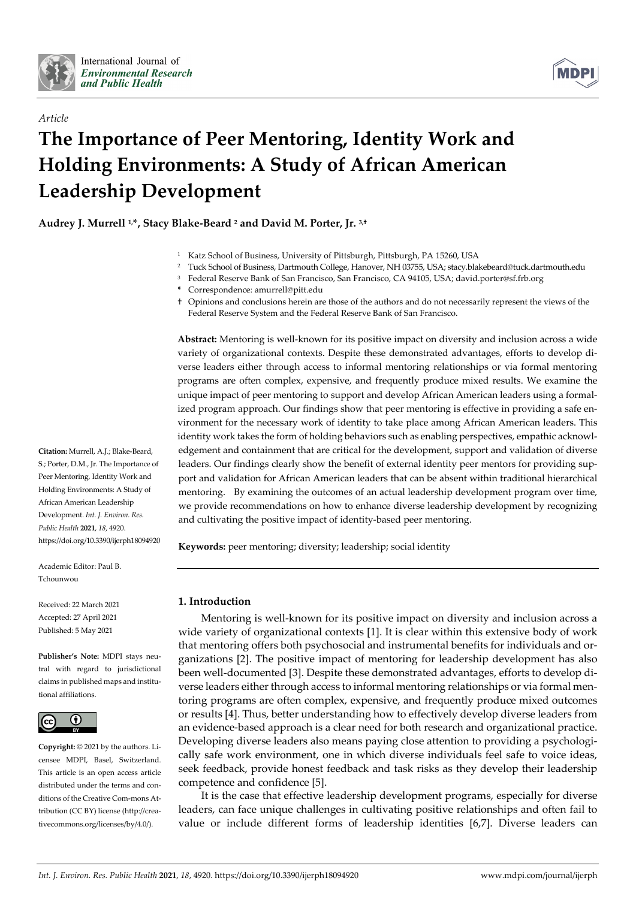

*Article*



# **The Importance of Peer Mentoring, Identity Work and Holding Environments: A Study of African American Leadership Development**

**Audrey J. Murrell 1,\*, Stacy Blake-Beard 2 and David M. Porter, Jr. 3,†**

- <sup>1</sup> Katz School of Business, University of Pittsburgh, Pittsburgh, PA 15260, USA
- <sup>2</sup> Tuck School of Business, Dartmouth College, Hanover, NH 03755, USA; stacy.blakebeard@tuck.dartmouth.edu
- <sup>3</sup> Federal Reserve Bank of San Francisco, San Francisco, CA 94105, USA; david.porter@sf.frb.org
- **\*** Correspondence: amurrell@pitt.edu
- † Opinions and conclusions herein are those of the authors and do not necessarily represent the views of the Federal Reserve System and the Federal Reserve Bank of San Francisco.

**Abstract:** Mentoring is well-known for its positive impact on diversity and inclusion across a wide variety of organizational contexts. Despite these demonstrated advantages, efforts to develop diverse leaders either through access to informal mentoring relationships or via formal mentoring programs are often complex, expensive, and frequently produce mixed results. We examine the unique impact of peer mentoring to support and develop African American leaders using a formalized program approach. Our findings show that peer mentoring is effective in providing a safe environment for the necessary work of identity to take place among African American leaders. This identity work takes the form of holding behaviors such as enabling perspectives, empathic acknowledgement and containment that are critical for the development, support and validation of diverse leaders. Our findings clearly show the benefit of external identity peer mentors for providing support and validation for African American leaders that can be absent within traditional hierarchical mentoring. By examining the outcomes of an actual leadership development program over time, we provide recommendations on how to enhance diverse leadership development by recognizing and cultivating the positive impact of identity-based peer mentoring.

**Keywords:** peer mentoring; diversity; leadership; social identity

# **1. Introduction**

Mentoring is well-known for its positive impact on diversity and inclusion across a wide variety of organizational contexts [1]. It is clear within this extensive body of work that mentoring offers both psychosocial and instrumental benefits for individuals and organizations [2]. The positive impact of mentoring for leadership development has also been well-documented [3]. Despite these demonstrated advantages, efforts to develop diverse leaders either through access to informal mentoring relationships or via formal mentoring programs are often complex, expensive, and frequently produce mixed outcomes or results [4]. Thus, better understanding how to effectively develop diverse leaders from an evidence-based approach is a clear need for both research and organizational practice. Developing diverse leaders also means paying close attention to providing a psychologically safe work environment, one in which diverse individuals feel safe to voice ideas, seek feedback, provide honest feedback and task risks as they develop their leadership competence and confidence [5].

It is the case that effective leadership development programs, especially for diverse leaders, can face unique challenges in cultivating positive relationships and often fail to value or include different forms of leadership identities [6,7]. Diverse leaders can

**Citation:** Murrell, A.J.; Blake-Beard, S.; Porter, D.M., Jr. The Importance of Peer Mentoring, Identity Work and Holding Environments: A Study of African American Leadership Development. *Int. J. Environ. Res. Public Health* **2021**, *18*, 4920. https://doi.org/10.3390/ijerph18094920

Academic Editor: Paul B. Tchounwou

Received: 22 March 2021 Accepted: 27 April 2021 Published: 5 May 2021

**Publisher's Note:** MDPI stays neutral with regard to jurisdictional claims in published maps and institutional affiliations.



**Copyright:** © 2021 by the authors. Licensee MDPI, Basel, Switzerland. This article is an open access article distributed under the terms and conditions of the Creative Com-mons Attribution (CC BY) license (http://creativecommons.org/licenses/by/4.0/).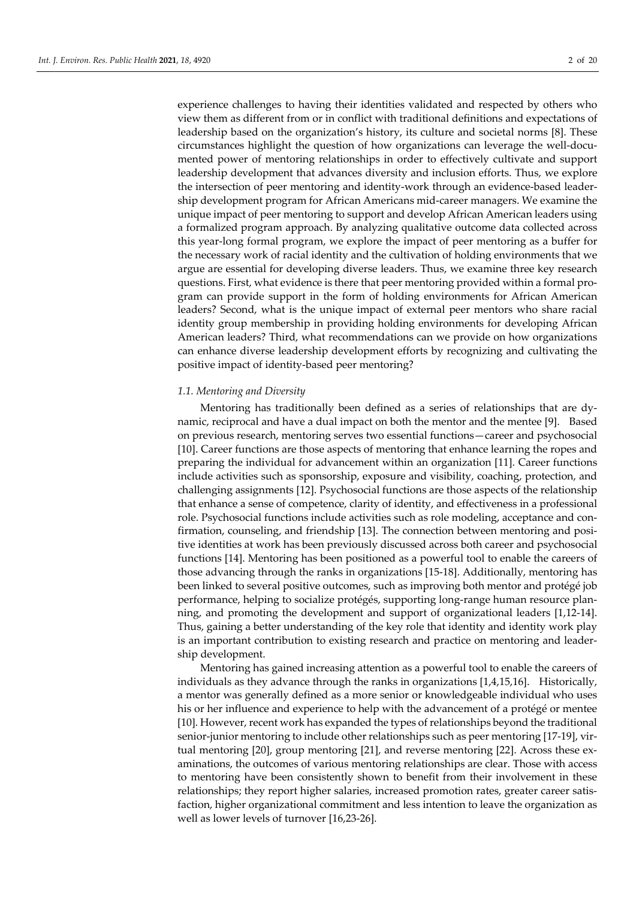experience challenges to having their identities validated and respected by others who view them as different from or in conflict with traditional definitions and expectations of leadership based on the organization's history, its culture and societal norms [8]. These circumstances highlight the question of how organizations can leverage the well-documented power of mentoring relationships in order to effectively cultivate and support leadership development that advances diversity and inclusion efforts. Thus, we explore the intersection of peer mentoring and identity-work through an evidence-based leadership development program for African Americans mid-career managers. We examine the unique impact of peer mentoring to support and develop African American leaders using a formalized program approach. By analyzing qualitative outcome data collected across this year-long formal program, we explore the impact of peer mentoring as a buffer for the necessary work of racial identity and the cultivation of holding environments that we argue are essential for developing diverse leaders. Thus, we examine three key research questions. First, what evidence is there that peer mentoring provided within a formal program can provide support in the form of holding environments for African American leaders? Second, what is the unique impact of external peer mentors who share racial identity group membership in providing holding environments for developing African American leaders? Third, what recommendations can we provide on how organizations can enhance diverse leadership development efforts by recognizing and cultivating the positive impact of identity-based peer mentoring?

# *1.1. Mentoring and Diversity*

Mentoring has traditionally been defined as a series of relationships that are dynamic, reciprocal and have a dual impact on both the mentor and the mentee [9]. Based on previous research, mentoring serves two essential functions—career and psychosocial [10]. Career functions are those aspects of mentoring that enhance learning the ropes and preparing the individual for advancement within an organization [11]. Career functions include activities such as sponsorship, exposure and visibility, coaching, protection, and challenging assignments [12]. Psychosocial functions are those aspects of the relationship that enhance a sense of competence, clarity of identity, and effectiveness in a professional role. Psychosocial functions include activities such as role modeling, acceptance and confirmation, counseling, and friendship [13]. The connection between mentoring and positive identities at work has been previously discussed across both career and psychosocial functions [14]. Mentoring has been positioned as a powerful tool to enable the careers of those advancing through the ranks in organizations [15-18]. Additionally, mentoring has been linked to several positive outcomes, such as improving both mentor and protégé job performance, helping to socialize protégés, supporting long-range human resource planning, and promoting the development and support of organizational leaders [1,12-14]. Thus, gaining a better understanding of the key role that identity and identity work play is an important contribution to existing research and practice on mentoring and leadership development.

Mentoring has gained increasing attention as a powerful tool to enable the careers of individuals as they advance through the ranks in organizations [1,4,15,16]. Historically, a mentor was generally defined as a more senior or knowledgeable individual who uses his or her influence and experience to help with the advancement of a protégé or mentee [10]. However, recent work has expanded the types of relationships beyond the traditional senior-junior mentoring to include other relationships such as peer mentoring [17-19], virtual mentoring [20], group mentoring [21], and reverse mentoring [22]. Across these examinations, the outcomes of various mentoring relationships are clear. Those with access to mentoring have been consistently shown to benefit from their involvement in these relationships; they report higher salaries, increased promotion rates, greater career satisfaction, higher organizational commitment and less intention to leave the organization as well as lower levels of turnover [16,23-26].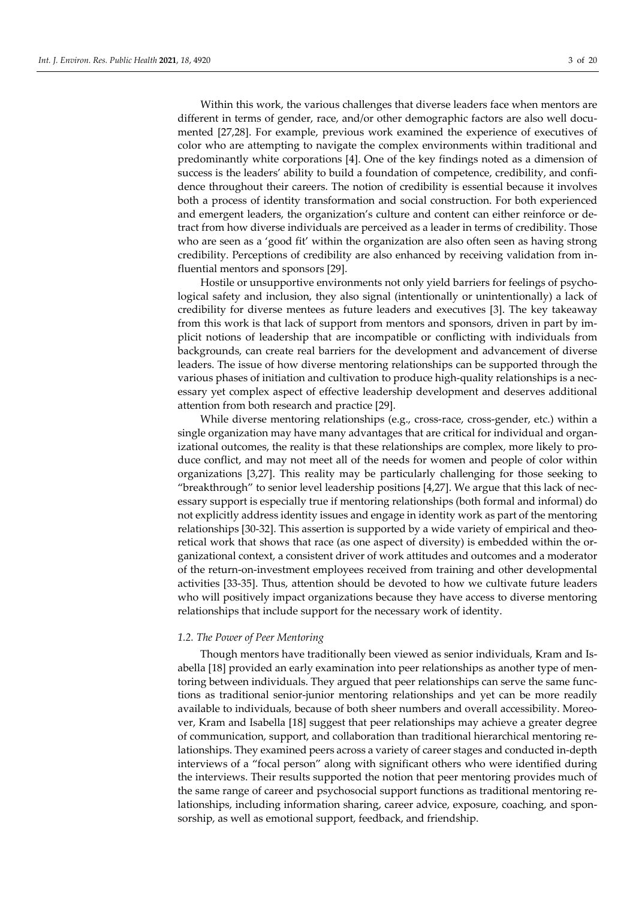Within this work, the various challenges that diverse leaders face when mentors are different in terms of gender, race, and/or other demographic factors are also well documented [27,28]. For example, previous work examined the experience of executives of color who are attempting to navigate the complex environments within traditional and predominantly white corporations [4]. One of the key findings noted as a dimension of success is the leaders' ability to build a foundation of competence, credibility, and confidence throughout their careers. The notion of credibility is essential because it involves both a process of identity transformation and social construction. For both experienced and emergent leaders, the organization's culture and content can either reinforce or detract from how diverse individuals are perceived as a leader in terms of credibility. Those who are seen as a 'good fit' within the organization are also often seen as having strong credibility. Perceptions of credibility are also enhanced by receiving validation from influential mentors and sponsors [29].

Hostile or unsupportive environments not only yield barriers for feelings of psychological safety and inclusion, they also signal (intentionally or unintentionally) a lack of credibility for diverse mentees as future leaders and executives [3]. The key takeaway from this work is that lack of support from mentors and sponsors, driven in part by implicit notions of leadership that are incompatible or conflicting with individuals from backgrounds, can create real barriers for the development and advancement of diverse leaders. The issue of how diverse mentoring relationships can be supported through the various phases of initiation and cultivation to produce high-quality relationships is a necessary yet complex aspect of effective leadership development and deserves additional attention from both research and practice [29].

While diverse mentoring relationships (e.g., cross-race, cross-gender, etc.) within a single organization may have many advantages that are critical for individual and organizational outcomes, the reality is that these relationships are complex, more likely to produce conflict, and may not meet all of the needs for women and people of color within organizations [3,27]. This reality may be particularly challenging for those seeking to "breakthrough" to senior level leadership positions [4,27]. We argue that this lack of necessary support is especially true if mentoring relationships (both formal and informal) do not explicitly address identity issues and engage in identity work as part of the mentoring relationships [30-32]. This assertion is supported by a wide variety of empirical and theoretical work that shows that race (as one aspect of diversity) is embedded within the organizational context, a consistent driver of work attitudes and outcomes and a moderator of the return-on-investment employees received from training and other developmental activities [33-35]. Thus, attention should be devoted to how we cultivate future leaders who will positively impact organizations because they have access to diverse mentoring relationships that include support for the necessary work of identity.

# *1.2. The Power of Peer Mentoring*

Though mentors have traditionally been viewed as senior individuals, Kram and Isabella [18] provided an early examination into peer relationships as another type of mentoring between individuals. They argued that peer relationships can serve the same functions as traditional senior-junior mentoring relationships and yet can be more readily available to individuals, because of both sheer numbers and overall accessibility. Moreover, Kram and Isabella [18] suggest that peer relationships may achieve a greater degree of communication, support, and collaboration than traditional hierarchical mentoring relationships. They examined peers across a variety of career stages and conducted in-depth interviews of a "focal person" along with significant others who were identified during the interviews. Their results supported the notion that peer mentoring provides much of the same range of career and psychosocial support functions as traditional mentoring relationships, including information sharing, career advice, exposure, coaching, and sponsorship, as well as emotional support, feedback, and friendship.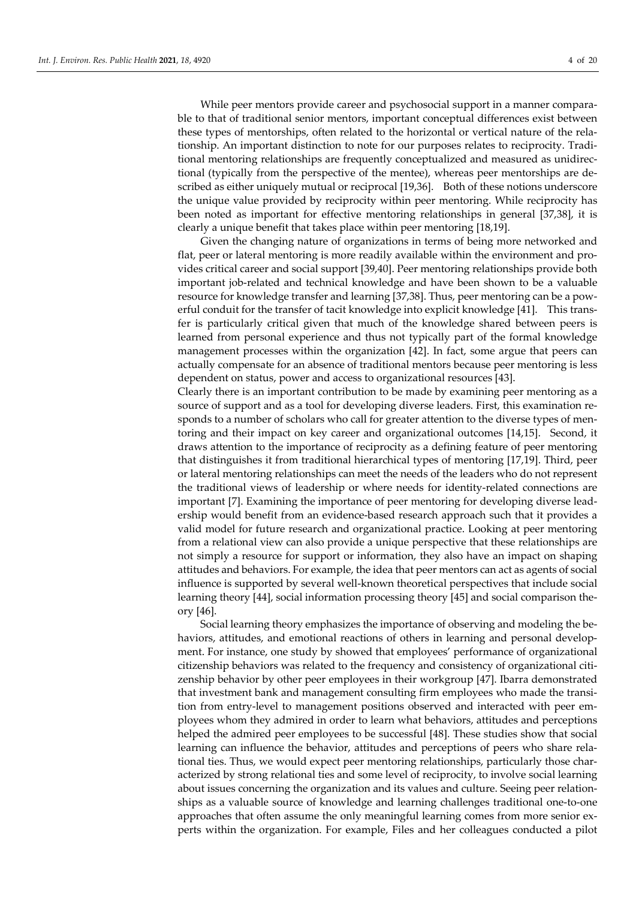While peer mentors provide career and psychosocial support in a manner comparable to that of traditional senior mentors, important conceptual differences exist between these types of mentorships, often related to the horizontal or vertical nature of the relationship. An important distinction to note for our purposes relates to reciprocity. Traditional mentoring relationships are frequently conceptualized and measured as unidirectional (typically from the perspective of the mentee), whereas peer mentorships are described as either uniquely mutual or reciprocal [19,36]. Both of these notions underscore the unique value provided by reciprocity within peer mentoring. While reciprocity has been noted as important for effective mentoring relationships in general [37,38], it is clearly a unique benefit that takes place within peer mentoring [18,19].

Given the changing nature of organizations in terms of being more networked and flat, peer or lateral mentoring is more readily available within the environment and provides critical career and social support [39,40]. Peer mentoring relationships provide both important job-related and technical knowledge and have been shown to be a valuable resource for knowledge transfer and learning [37,38]. Thus, peer mentoring can be a powerful conduit for the transfer of tacit knowledge into explicit knowledge [41]. This transfer is particularly critical given that much of the knowledge shared between peers is learned from personal experience and thus not typically part of the formal knowledge management processes within the organization [42]. In fact, some argue that peers can actually compensate for an absence of traditional mentors because peer mentoring is less dependent on status, power and access to organizational resources [43].

Clearly there is an important contribution to be made by examining peer mentoring as a source of support and as a tool for developing diverse leaders. First, this examination responds to a number of scholars who call for greater attention to the diverse types of mentoring and their impact on key career and organizational outcomes [14,15]. Second, it draws attention to the importance of reciprocity as a defining feature of peer mentoring that distinguishes it from traditional hierarchical types of mentoring [17,19]. Third, peer or lateral mentoring relationships can meet the needs of the leaders who do not represent the traditional views of leadership or where needs for identity-related connections are important [7]. Examining the importance of peer mentoring for developing diverse leadership would benefit from an evidence-based research approach such that it provides a valid model for future research and organizational practice. Looking at peer mentoring from a relational view can also provide a unique perspective that these relationships are not simply a resource for support or information, they also have an impact on shaping attitudes and behaviors. For example, the idea that peer mentors can act as agents of social influence is supported by several well-known theoretical perspectives that include social learning theory [44], social information processing theory [45] and social comparison theory [46].

Social learning theory emphasizes the importance of observing and modeling the behaviors, attitudes, and emotional reactions of others in learning and personal development. For instance, one study by showed that employees' performance of organizational citizenship behaviors was related to the frequency and consistency of organizational citizenship behavior by other peer employees in their workgroup [47]. Ibarra demonstrated that investment bank and management consulting firm employees who made the transition from entry-level to management positions observed and interacted with peer employees whom they admired in order to learn what behaviors, attitudes and perceptions helped the admired peer employees to be successful [48]. These studies show that social learning can influence the behavior, attitudes and perceptions of peers who share relational ties. Thus, we would expect peer mentoring relationships, particularly those characterized by strong relational ties and some level of reciprocity, to involve social learning about issues concerning the organization and its values and culture. Seeing peer relationships as a valuable source of knowledge and learning challenges traditional one-to-one approaches that often assume the only meaningful learning comes from more senior experts within the organization. For example, Files and her colleagues conducted a pilot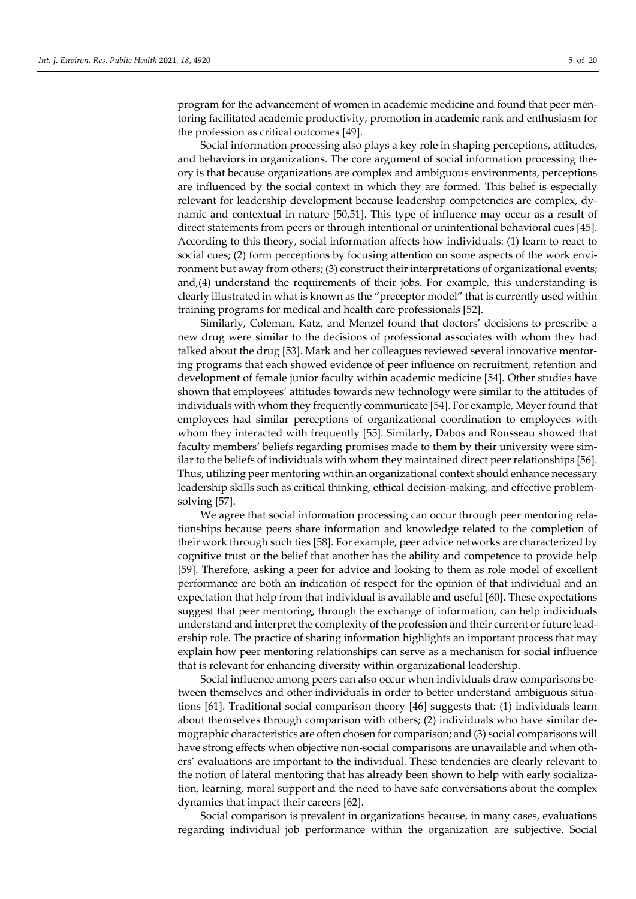program for the advancement of women in academic medicine and found that peer mentoring facilitated academic productivity, promotion in academic rank and enthusiasm for the profession as critical outcomes [49].

Social information processing also plays a key role in shaping perceptions, attitudes, and behaviors in organizations. The core argument of social information processing theory is that because organizations are complex and ambiguous environments, perceptions are influenced by the social context in which they are formed. This belief is especially relevant for leadership development because leadership competencies are complex, dynamic and contextual in nature [50,51]. This type of influence may occur as a result of direct statements from peers or through intentional or unintentional behavioral cues [45]. According to this theory, social information affects how individuals: (1) learn to react to social cues; (2) form perceptions by focusing attention on some aspects of the work environment but away from others; (3) construct their interpretations of organizational events; and,(4) understand the requirements of their jobs. For example, this understanding is clearly illustrated in what is known as the "preceptor model" that is currently used within training programs for medical and health care professionals [52].

Similarly, Coleman, Katz, and Menzel found that doctors' decisions to prescribe a new drug were similar to the decisions of professional associates with whom they had talked about the drug [53]. Mark and her colleagues reviewed several innovative mentoring programs that each showed evidence of peer influence on recruitment, retention and development of female junior faculty within academic medicine [54]. Other studies have shown that employees' attitudes towards new technology were similar to the attitudes of individuals with whom they frequently communicate [54]. For example, Meyer found that employees had similar perceptions of organizational coordination to employees with whom they interacted with frequently [55]. Similarly, Dabos and Rousseau showed that faculty members' beliefs regarding promises made to them by their university were similar to the beliefs of individuals with whom they maintained direct peer relationships [56]. Thus, utilizing peer mentoring within an organizational context should enhance necessary leadership skills such as critical thinking, ethical decision-making, and effective problemsolving [57].

We agree that social information processing can occur through peer mentoring relationships because peers share information and knowledge related to the completion of their work through such ties [58]. For example, peer advice networks are characterized by cognitive trust or the belief that another has the ability and competence to provide help [59]. Therefore, asking a peer for advice and looking to them as role model of excellent performance are both an indication of respect for the opinion of that individual and an expectation that help from that individual is available and useful [60]. These expectations suggest that peer mentoring, through the exchange of information, can help individuals understand and interpret the complexity of the profession and their current or future leadership role. The practice of sharing information highlights an important process that may explain how peer mentoring relationships can serve as a mechanism for social influence that is relevant for enhancing diversity within organizational leadership.

Social influence among peers can also occur when individuals draw comparisons between themselves and other individuals in order to better understand ambiguous situations [61]. Traditional social comparison theory [46] suggests that: (1) individuals learn about themselves through comparison with others; (2) individuals who have similar demographic characteristics are often chosen for comparison; and (3) social comparisons will have strong effects when objective non-social comparisons are unavailable and when others' evaluations are important to the individual. These tendencies are clearly relevant to the notion of lateral mentoring that has already been shown to help with early socialization, learning, moral support and the need to have safe conversations about the complex dynamics that impact their careers [62].

Social comparison is prevalent in organizations because, in many cases, evaluations regarding individual job performance within the organization are subjective. Social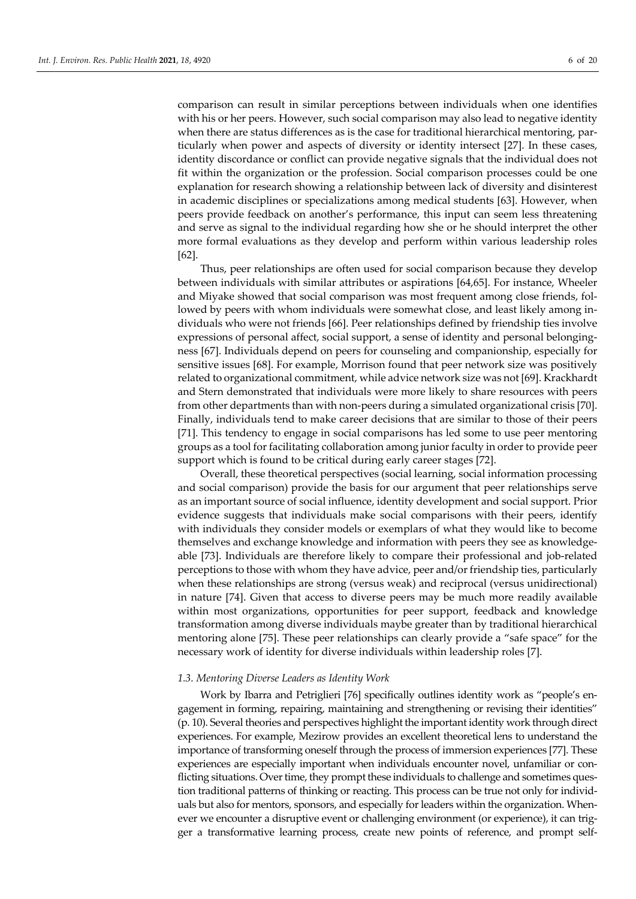comparison can result in similar perceptions between individuals when one identifies with his or her peers. However, such social comparison may also lead to negative identity when there are status differences as is the case for traditional hierarchical mentoring, particularly when power and aspects of diversity or identity intersect [27]. In these cases, identity discordance or conflict can provide negative signals that the individual does not fit within the organization or the profession. Social comparison processes could be one explanation for research showing a relationship between lack of diversity and disinterest in academic disciplines or specializations among medical students [63]. However, when peers provide feedback on another's performance, this input can seem less threatening and serve as signal to the individual regarding how she or he should interpret the other more formal evaluations as they develop and perform within various leadership roles [62].

Thus, peer relationships are often used for social comparison because they develop between individuals with similar attributes or aspirations [64,65]. For instance, Wheeler and Miyake showed that social comparison was most frequent among close friends, followed by peers with whom individuals were somewhat close, and least likely among individuals who were not friends [66]. Peer relationships defined by friendship ties involve expressions of personal affect, social support, a sense of identity and personal belongingness [67]. Individuals depend on peers for counseling and companionship, especially for sensitive issues [68]. For example, Morrison found that peer network size was positively related to organizational commitment, while advice network size was not [69]. Krackhardt and Stern demonstrated that individuals were more likely to share resources with peers from other departments than with non-peers during a simulated organizational crisis [70]. Finally, individuals tend to make career decisions that are similar to those of their peers [71]. This tendency to engage in social comparisons has led some to use peer mentoring groups as a tool for facilitating collaboration among junior faculty in order to provide peer support which is found to be critical during early career stages [72].

Overall, these theoretical perspectives (social learning, social information processing and social comparison) provide the basis for our argument that peer relationships serve as an important source of social influence, identity development and social support. Prior evidence suggests that individuals make social comparisons with their peers, identify with individuals they consider models or exemplars of what they would like to become themselves and exchange knowledge and information with peers they see as knowledgeable [73]. Individuals are therefore likely to compare their professional and job-related perceptions to those with whom they have advice, peer and/or friendship ties, particularly when these relationships are strong (versus weak) and reciprocal (versus unidirectional) in nature [74]. Given that access to diverse peers may be much more readily available within most organizations, opportunities for peer support, feedback and knowledge transformation among diverse individuals maybe greater than by traditional hierarchical mentoring alone [75]. These peer relationships can clearly provide a "safe space" for the necessary work of identity for diverse individuals within leadership roles [7].

#### *1.3. Mentoring Diverse Leaders as Identity Work*

Work by Ibarra and Petriglieri [76] specifically outlines identity work as "people's engagement in forming, repairing, maintaining and strengthening or revising their identities" (p. 10). Several theories and perspectives highlight the important identity work through direct experiences. For example, Mezirow provides an excellent theoretical lens to understand the importance of transforming oneself through the process of immersion experiences [77]. These experiences are especially important when individuals encounter novel, unfamiliar or conflicting situations. Over time, they prompt these individuals to challenge and sometimes question traditional patterns of thinking or reacting. This process can be true not only for individuals but also for mentors, sponsors, and especially for leaders within the organization. Whenever we encounter a disruptive event or challenging environment (or experience), it can trigger a transformative learning process, create new points of reference, and prompt self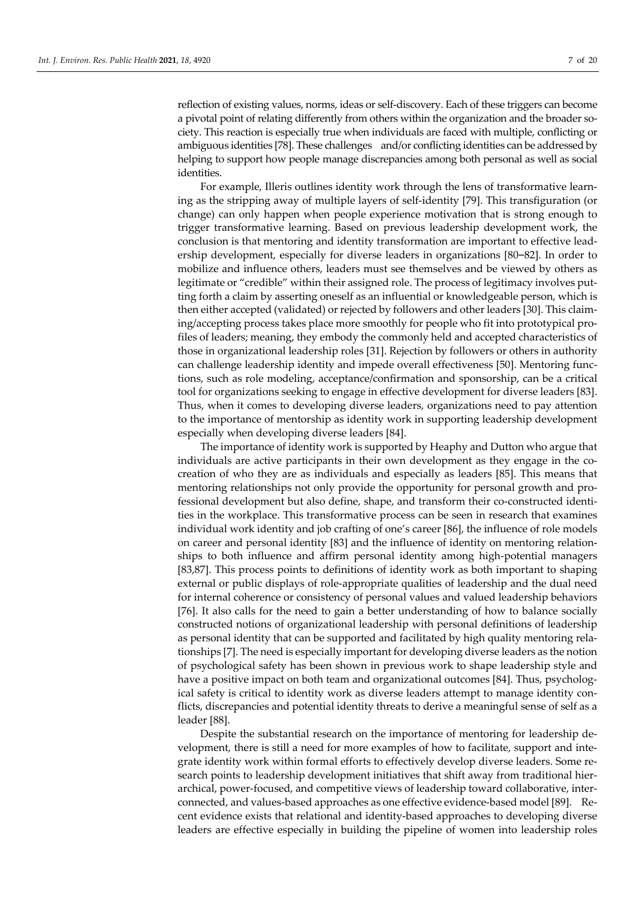reflection of existing values, norms, ideas or self-discovery. Each of these triggers can become a pivotal point of relating differently from others within the organization and the broader society. This reaction is especially true when individuals are faced with multiple, conflicting or ambiguous identities [78]. These challenges and/or conflicting identities can be addressed by helping to support how people manage discrepancies among both personal as well as social identities.

For example, Illeris outlines identity work through the lens of transformative learning as the stripping away of multiple layers of self-identity [79]. This transfiguration (or change) can only happen when people experience motivation that is strong enough to trigger transformative learning. Based on previous leadership development work, the conclusion is that mentoring and identity transformation are important to effective leadership development, especially for diverse leaders in organizations [80–82]. In order to mobilize and influence others, leaders must see themselves and be viewed by others as legitimate or "credible" within their assigned role. The process of legitimacy involves putting forth a claim by asserting oneself as an influential or knowledgeable person, which is then either accepted (validated) or rejected by followers and other leaders [30]. This claiming/accepting process takes place more smoothly for people who fit into prototypical profiles of leaders; meaning, they embody the commonly held and accepted characteristics of those in organizational leadership roles [31]. Rejection by followers or others in authority can challenge leadership identity and impede overall effectiveness [50]. Mentoring functions, such as role modeling, acceptance/confirmation and sponsorship, can be a critical tool for organizations seeking to engage in effective development for diverse leaders [83]. Thus, when it comes to developing diverse leaders, organizations need to pay attention to the importance of mentorship as identity work in supporting leadership development especially when developing diverse leaders [84].

The importance of identity work is supported by Heaphy and Dutton who argue that individuals are active participants in their own development as they engage in the cocreation of who they are as individuals and especially as leaders [85]. This means that mentoring relationships not only provide the opportunity for personal growth and professional development but also define, shape, and transform their co-constructed identities in the workplace. This transformative process can be seen in research that examines individual work identity and job crafting of one's career [86], the influence of role models on career and personal identity [83] and the influence of identity on mentoring relationships to both influence and affirm personal identity among high-potential managers [83,87]. This process points to definitions of identity work as both important to shaping external or public displays of role-appropriate qualities of leadership and the dual need for internal coherence or consistency of personal values and valued leadership behaviors [76]. It also calls for the need to gain a better understanding of how to balance socially constructed notions of organizational leadership with personal definitions of leadership as personal identity that can be supported and facilitated by high quality mentoring relationships [7]. The need is especially important for developing diverse leaders as the notion of psychological safety has been shown in previous work to shape leadership style and have a positive impact on both team and organizational outcomes [84]. Thus, psychological safety is critical to identity work as diverse leaders attempt to manage identity conflicts, discrepancies and potential identity threats to derive a meaningful sense of self as a leader [88].

Despite the substantial research on the importance of mentoring for leadership development, there is still a need for more examples of how to facilitate, support and integrate identity work within formal efforts to effectively develop diverse leaders. Some research points to leadership development initiatives that shift away from traditional hierarchical, power-focused, and competitive views of leadership toward collaborative, interconnected, and values-based approaches as one effective evidence-based model [89]. Recent evidence exists that relational and identity-based approaches to developing diverse leaders are effective especially in building the pipeline of women into leadership roles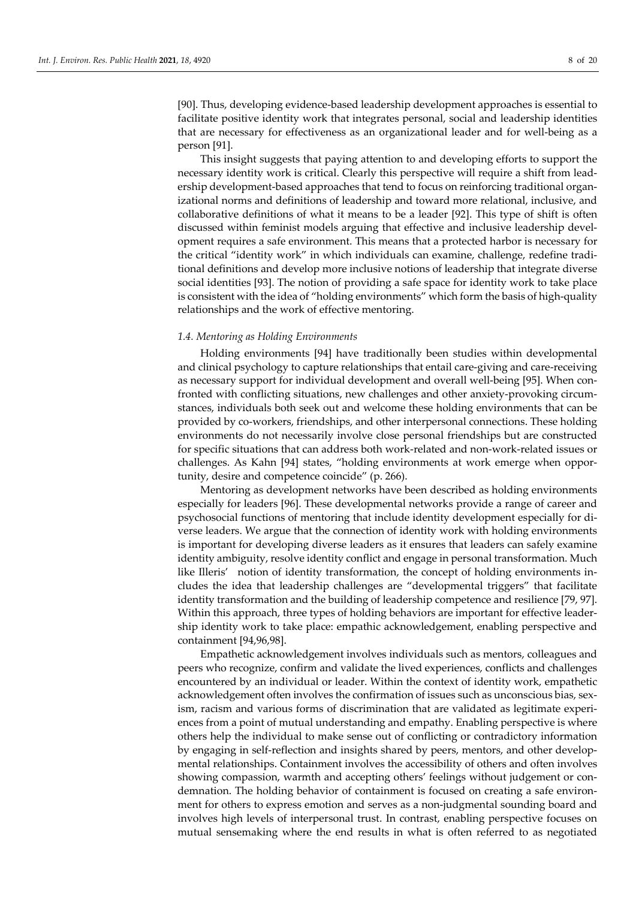[90]. Thus, developing evidence-based leadership development approaches is essential to facilitate positive identity work that integrates personal, social and leadership identities that are necessary for effectiveness as an organizational leader and for well-being as a person [91].

This insight suggests that paying attention to and developing efforts to support the necessary identity work is critical. Clearly this perspective will require a shift from leadership development-based approaches that tend to focus on reinforcing traditional organizational norms and definitions of leadership and toward more relational, inclusive, and collaborative definitions of what it means to be a leader [92]. This type of shift is often discussed within feminist models arguing that effective and inclusive leadership development requires a safe environment. This means that a protected harbor is necessary for the critical "identity work" in which individuals can examine, challenge, redefine traditional definitions and develop more inclusive notions of leadership that integrate diverse social identities [93]. The notion of providing a safe space for identity work to take place is consistent with the idea of "holding environments" which form the basis of high-quality relationships and the work of effective mentoring.

#### *1.4. Mentoring as Holding Environments*

Holding environments [94] have traditionally been studies within developmental and clinical psychology to capture relationships that entail care-giving and care-receiving as necessary support for individual development and overall well-being [95]. When confronted with conflicting situations, new challenges and other anxiety-provoking circumstances, individuals both seek out and welcome these holding environments that can be provided by co-workers, friendships, and other interpersonal connections. These holding environments do not necessarily involve close personal friendships but are constructed for specific situations that can address both work-related and non-work-related issues or challenges. As Kahn [94] states, "holding environments at work emerge when opportunity, desire and competence coincide" (p. 266).

Mentoring as development networks have been described as holding environments especially for leaders [96]. These developmental networks provide a range of career and psychosocial functions of mentoring that include identity development especially for diverse leaders. We argue that the connection of identity work with holding environments is important for developing diverse leaders as it ensures that leaders can safely examine identity ambiguity, resolve identity conflict and engage in personal transformation. Much like Illeris' notion of identity transformation, the concept of holding environments includes the idea that leadership challenges are "developmental triggers" that facilitate identity transformation and the building of leadership competence and resilience [79, 97]. Within this approach, three types of holding behaviors are important for effective leadership identity work to take place: empathic acknowledgement, enabling perspective and containment [94,96,98].

Empathetic acknowledgement involves individuals such as mentors, colleagues and peers who recognize, confirm and validate the lived experiences, conflicts and challenges encountered by an individual or leader. Within the context of identity work, empathetic acknowledgement often involves the confirmation of issues such as unconscious bias, sexism, racism and various forms of discrimination that are validated as legitimate experiences from a point of mutual understanding and empathy. Enabling perspective is where others help the individual to make sense out of conflicting or contradictory information by engaging in self-reflection and insights shared by peers, mentors, and other developmental relationships. Containment involves the accessibility of others and often involves showing compassion, warmth and accepting others' feelings without judgement or condemnation. The holding behavior of containment is focused on creating a safe environment for others to express emotion and serves as a non-judgmental sounding board and involves high levels of interpersonal trust. In contrast, enabling perspective focuses on mutual sensemaking where the end results in what is often referred to as negotiated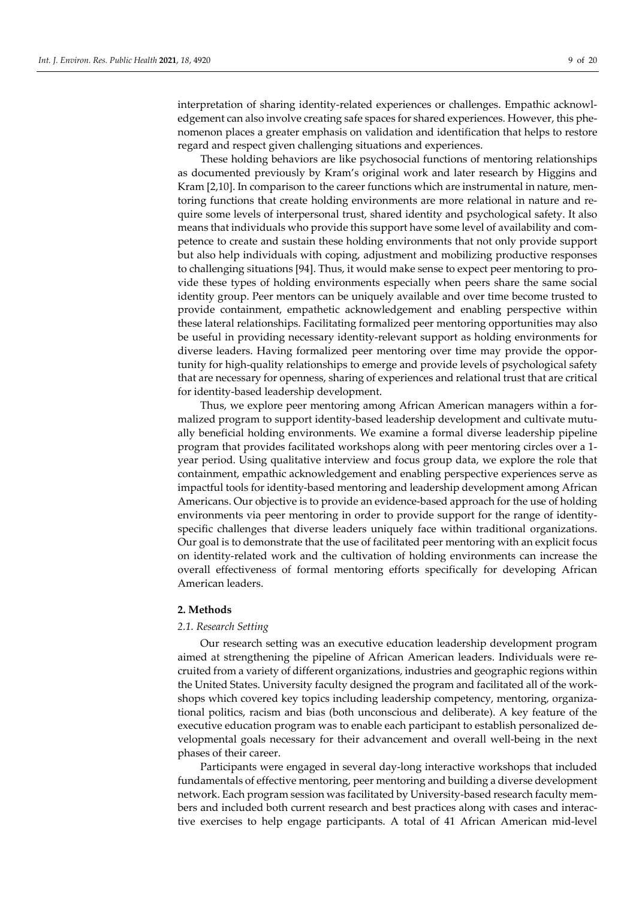interpretation of sharing identity-related experiences or challenges. Empathic acknowledgement can also involve creating safe spaces for shared experiences. However, this phenomenon places a greater emphasis on validation and identification that helps to restore regard and respect given challenging situations and experiences.

These holding behaviors are like psychosocial functions of mentoring relationships as documented previously by Kram's original work and later research by Higgins and Kram [2,10]. In comparison to the career functions which are instrumental in nature, mentoring functions that create holding environments are more relational in nature and require some levels of interpersonal trust, shared identity and psychological safety. It also means that individuals who provide this support have some level of availability and competence to create and sustain these holding environments that not only provide support but also help individuals with coping, adjustment and mobilizing productive responses to challenging situations [94]. Thus, it would make sense to expect peer mentoring to provide these types of holding environments especially when peers share the same social identity group. Peer mentors can be uniquely available and over time become trusted to provide containment, empathetic acknowledgement and enabling perspective within these lateral relationships. Facilitating formalized peer mentoring opportunities may also be useful in providing necessary identity-relevant support as holding environments for diverse leaders. Having formalized peer mentoring over time may provide the opportunity for high-quality relationships to emerge and provide levels of psychological safety that are necessary for openness, sharing of experiences and relational trust that are critical for identity-based leadership development.

Thus, we explore peer mentoring among African American managers within a formalized program to support identity-based leadership development and cultivate mutually beneficial holding environments. We examine a formal diverse leadership pipeline program that provides facilitated workshops along with peer mentoring circles over a 1 year period. Using qualitative interview and focus group data, we explore the role that containment, empathic acknowledgement and enabling perspective experiences serve as impactful tools for identity-based mentoring and leadership development among African Americans. Our objective is to provide an evidence-based approach for the use of holding environments via peer mentoring in order to provide support for the range of identityspecific challenges that diverse leaders uniquely face within traditional organizations. Our goal is to demonstrate that the use of facilitated peer mentoring with an explicit focus on identity-related work and the cultivation of holding environments can increase the overall effectiveness of formal mentoring efforts specifically for developing African American leaders.

# **2. Methods**

#### *2.1. Research Setting*

Our research setting was an executive education leadership development program aimed at strengthening the pipeline of African American leaders. Individuals were recruited from a variety of different organizations, industries and geographic regions within the United States. University faculty designed the program and facilitated all of the workshops which covered key topics including leadership competency, mentoring, organizational politics, racism and bias (both unconscious and deliberate). A key feature of the executive education program was to enable each participant to establish personalized developmental goals necessary for their advancement and overall well-being in the next phases of their career.

Participants were engaged in several day-long interactive workshops that included fundamentals of effective mentoring, peer mentoring and building a diverse development network. Each program session was facilitated by University-based research faculty members and included both current research and best practices along with cases and interactive exercises to help engage participants. A total of 41 African American mid-level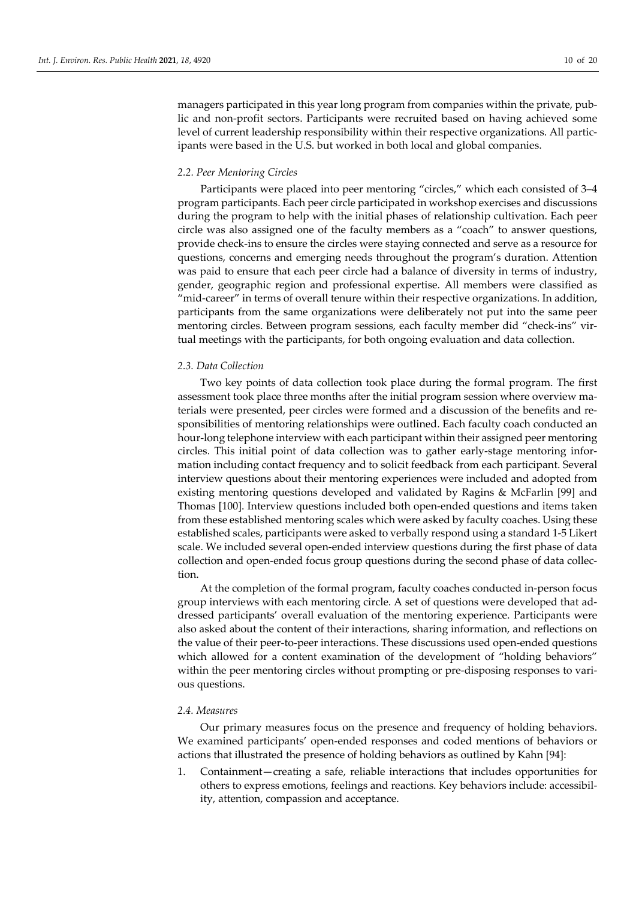managers participated in this year long program from companies within the private, public and non-profit sectors. Participants were recruited based on having achieved some level of current leadership responsibility within their respective organizations. All participants were based in the U.S. but worked in both local and global companies.

#### *2.2. Peer Mentoring Circles*

Participants were placed into peer mentoring "circles," which each consisted of 3–4 program participants. Each peer circle participated in workshop exercises and discussions during the program to help with the initial phases of relationship cultivation. Each peer circle was also assigned one of the faculty members as a "coach" to answer questions, provide check-ins to ensure the circles were staying connected and serve as a resource for questions, concerns and emerging needs throughout the program's duration. Attention was paid to ensure that each peer circle had a balance of diversity in terms of industry, gender, geographic region and professional expertise. All members were classified as "mid-career" in terms of overall tenure within their respective organizations. In addition, participants from the same organizations were deliberately not put into the same peer mentoring circles. Between program sessions, each faculty member did "check-ins" virtual meetings with the participants, for both ongoing evaluation and data collection.

### *2.3. Data Collection*

Two key points of data collection took place during the formal program. The first assessment took place three months after the initial program session where overview materials were presented, peer circles were formed and a discussion of the benefits and responsibilities of mentoring relationships were outlined. Each faculty coach conducted an hour-long telephone interview with each participant within their assigned peer mentoring circles. This initial point of data collection was to gather early-stage mentoring information including contact frequency and to solicit feedback from each participant. Several interview questions about their mentoring experiences were included and adopted from existing mentoring questions developed and validated by Ragins & McFarlin [99] and Thomas [100]. Interview questions included both open-ended questions and items taken from these established mentoring scales which were asked by faculty coaches. Using these established scales, participants were asked to verbally respond using a standard 1-5 Likert scale. We included several open-ended interview questions during the first phase of data collection and open-ended focus group questions during the second phase of data collection.

At the completion of the formal program, faculty coaches conducted in-person focus group interviews with each mentoring circle. A set of questions were developed that addressed participants' overall evaluation of the mentoring experience. Participants were also asked about the content of their interactions, sharing information, and reflections on the value of their peer-to-peer interactions. These discussions used open-ended questions which allowed for a content examination of the development of "holding behaviors" within the peer mentoring circles without prompting or pre-disposing responses to various questions.

# *2.4. Measures*

Our primary measures focus on the presence and frequency of holding behaviors. We examined participants' open-ended responses and coded mentions of behaviors or actions that illustrated the presence of holding behaviors as outlined by Kahn [94]:

1. Containment**—**creating a safe, reliable interactions that includes opportunities for others to express emotions, feelings and reactions. Key behaviors include: accessibility, attention, compassion and acceptance.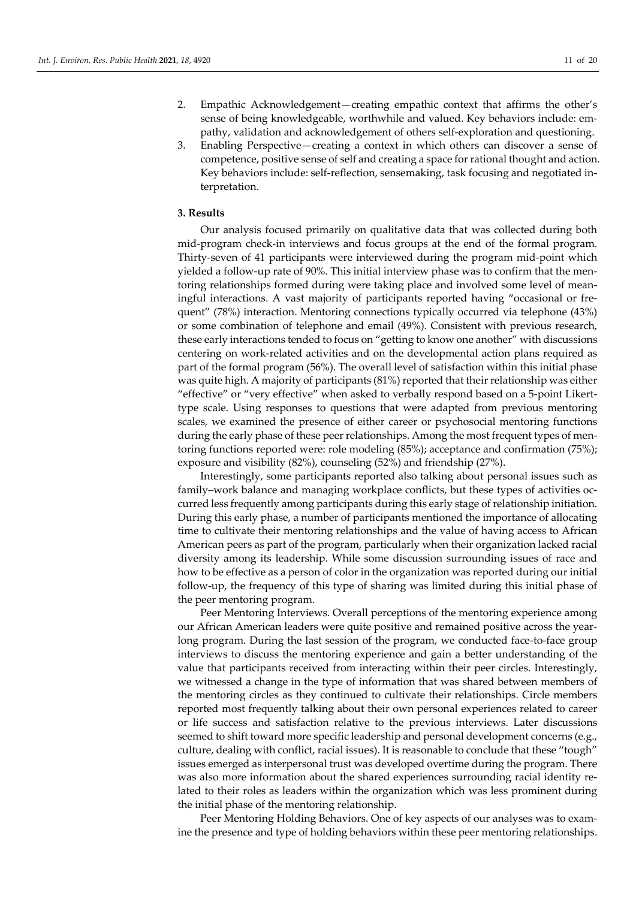- 2. Empathic Acknowledgement—creating empathic context that affirms the other's sense of being knowledgeable, worthwhile and valued. Key behaviors include: empathy, validation and acknowledgement of others self-exploration and questioning.
- 3. Enabling Perspective—creating a context in which others can discover a sense of competence, positive sense of self and creating a space for rational thought and action. Key behaviors include: self-reflection, sensemaking, task focusing and negotiated interpretation.

# **3. Results**

Our analysis focused primarily on qualitative data that was collected during both mid-program check-in interviews and focus groups at the end of the formal program. Thirty-seven of 41 participants were interviewed during the program mid-point which yielded a follow-up rate of 90%. This initial interview phase was to confirm that the mentoring relationships formed during were taking place and involved some level of meaningful interactions. A vast majority of participants reported having "occasional or frequent" (78%) interaction. Mentoring connections typically occurred via telephone (43%) or some combination of telephone and email (49%). Consistent with previous research, these early interactions tended to focus on "getting to know one another" with discussions centering on work-related activities and on the developmental action plans required as part of the formal program (56%). The overall level of satisfaction within this initial phase was quite high. A majority of participants (81%) reported that their relationship was either "effective" or "very effective" when asked to verbally respond based on a 5-point Likerttype scale. Using responses to questions that were adapted from previous mentoring scales, we examined the presence of either career or psychosocial mentoring functions during the early phase of these peer relationships. Among the most frequent types of mentoring functions reported were: role modeling (85%); acceptance and confirmation (75%); exposure and visibility (82%), counseling (52%) and friendship (27%).

Interestingly, some participants reported also talking about personal issues such as family–work balance and managing workplace conflicts, but these types of activities occurred less frequently among participants during this early stage of relationship initiation. During this early phase, a number of participants mentioned the importance of allocating time to cultivate their mentoring relationships and the value of having access to African American peers as part of the program, particularly when their organization lacked racial diversity among its leadership. While some discussion surrounding issues of race and how to be effective as a person of color in the organization was reported during our initial follow-up, the frequency of this type of sharing was limited during this initial phase of the peer mentoring program.

Peer Mentoring Interviews. Overall perceptions of the mentoring experience among our African American leaders were quite positive and remained positive across the yearlong program. During the last session of the program, we conducted face-to-face group interviews to discuss the mentoring experience and gain a better understanding of the value that participants received from interacting within their peer circles. Interestingly, we witnessed a change in the type of information that was shared between members of the mentoring circles as they continued to cultivate their relationships. Circle members reported most frequently talking about their own personal experiences related to career or life success and satisfaction relative to the previous interviews. Later discussions seemed to shift toward more specific leadership and personal development concerns (e.g., culture, dealing with conflict, racial issues). It is reasonable to conclude that these "tough" issues emerged as interpersonal trust was developed overtime during the program. There was also more information about the shared experiences surrounding racial identity related to their roles as leaders within the organization which was less prominent during the initial phase of the mentoring relationship.

Peer Mentoring Holding Behaviors. One of key aspects of our analyses was to examine the presence and type of holding behaviors within these peer mentoring relationships.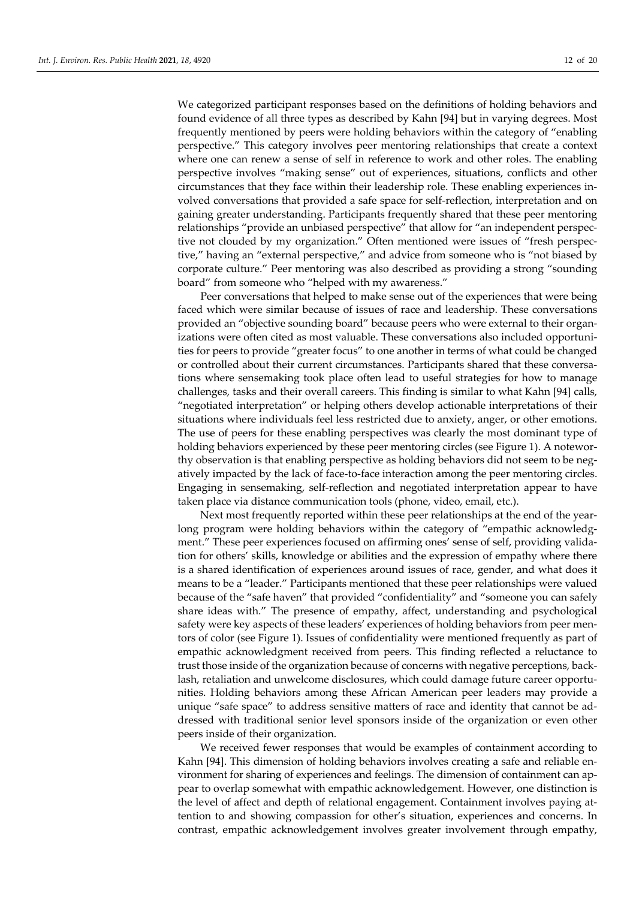We categorized participant responses based on the definitions of holding behaviors and found evidence of all three types as described by Kahn [94] but in varying degrees. Most frequently mentioned by peers were holding behaviors within the category of "enabling perspective." This category involves peer mentoring relationships that create a context where one can renew a sense of self in reference to work and other roles. The enabling perspective involves "making sense" out of experiences, situations, conflicts and other circumstances that they face within their leadership role. These enabling experiences involved conversations that provided a safe space for self-reflection, interpretation and on gaining greater understanding. Participants frequently shared that these peer mentoring relationships "provide an unbiased perspective" that allow for "an independent perspective not clouded by my organization." Often mentioned were issues of "fresh perspective," having an "external perspective," and advice from someone who is "not biased by corporate culture." Peer mentoring was also described as providing a strong "sounding board" from someone who "helped with my awareness."

Peer conversations that helped to make sense out of the experiences that were being faced which were similar because of issues of race and leadership. These conversations provided an "objective sounding board" because peers who were external to their organizations were often cited as most valuable. These conversations also included opportunities for peers to provide "greater focus" to one another in terms of what could be changed or controlled about their current circumstances. Participants shared that these conversations where sensemaking took place often lead to useful strategies for how to manage challenges, tasks and their overall careers. This finding is similar to what Kahn [94] calls, "negotiated interpretation" or helping others develop actionable interpretations of their situations where individuals feel less restricted due to anxiety, anger, or other emotions. The use of peers for these enabling perspectives was clearly the most dominant type of holding behaviors experienced by these peer mentoring circles (see Figure 1). A noteworthy observation is that enabling perspective as holding behaviors did not seem to be negatively impacted by the lack of face-to-face interaction among the peer mentoring circles. Engaging in sensemaking, self-reflection and negotiated interpretation appear to have taken place via distance communication tools (phone, video, email, etc.).

Next most frequently reported within these peer relationships at the end of the yearlong program were holding behaviors within the category of "empathic acknowledgment." These peer experiences focused on affirming ones' sense of self, providing validation for others' skills, knowledge or abilities and the expression of empathy where there is a shared identification of experiences around issues of race, gender, and what does it means to be a "leader." Participants mentioned that these peer relationships were valued because of the "safe haven" that provided "confidentiality" and "someone you can safely share ideas with." The presence of empathy, affect, understanding and psychological safety were key aspects of these leaders' experiences of holding behaviors from peer mentors of color (see Figure 1). Issues of confidentiality were mentioned frequently as part of empathic acknowledgment received from peers. This finding reflected a reluctance to trust those inside of the organization because of concerns with negative perceptions, backlash, retaliation and unwelcome disclosures, which could damage future career opportunities. Holding behaviors among these African American peer leaders may provide a unique "safe space" to address sensitive matters of race and identity that cannot be addressed with traditional senior level sponsors inside of the organization or even other peers inside of their organization.

We received fewer responses that would be examples of containment according to Kahn [94]. This dimension of holding behaviors involves creating a safe and reliable environment for sharing of experiences and feelings. The dimension of containment can appear to overlap somewhat with empathic acknowledgement. However, one distinction is the level of affect and depth of relational engagement. Containment involves paying attention to and showing compassion for other's situation, experiences and concerns. In contrast, empathic acknowledgement involves greater involvement through empathy,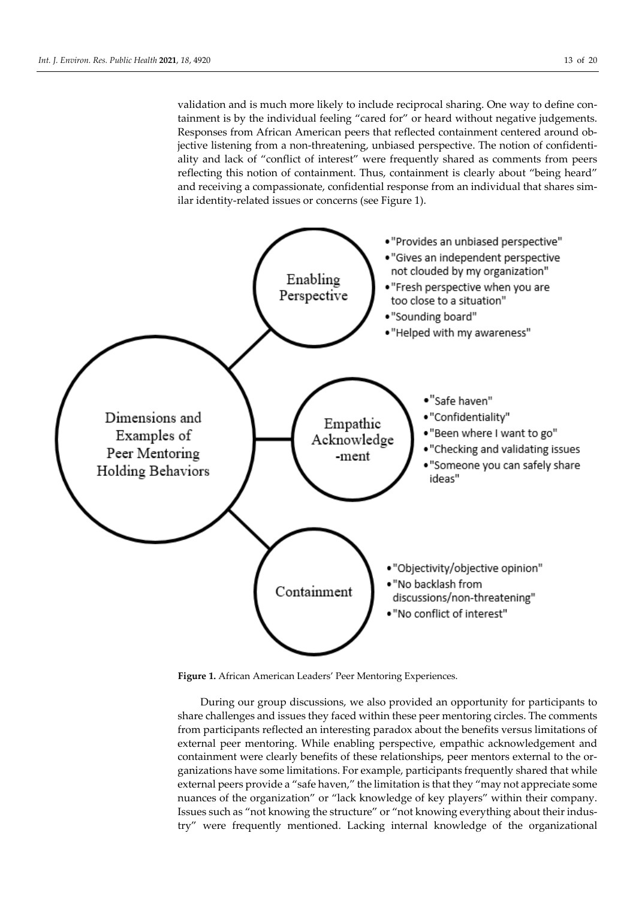validation and is much more likely to include reciprocal sharing. One way to define containment is by the individual feeling "cared for" or heard without negative judgements. Responses from African American peers that reflected containment centered around objective listening from a non-threatening, unbiased perspective. The notion of confidentiality and lack of "conflict of interest" were frequently shared as comments from peers reflecting this notion of containment. Thus, containment is clearly about "being heard" and receiving a compassionate, confidential response from an individual that shares similar identity-related issues or concerns (see Figure 1).



**Figure 1.** African American Leaders' Peer Mentoring Experiences.

During our group discussions, we also provided an opportunity for participants to share challenges and issues they faced within these peer mentoring circles. The comments from participants reflected an interesting paradox about the benefits versus limitations of external peer mentoring. While enabling perspective, empathic acknowledgement and containment were clearly benefits of these relationships, peer mentors external to the organizations have some limitations. For example, participants frequently shared that while external peers provide a "safe haven," the limitation is that they "may not appreciate some nuances of the organization" or "lack knowledge of key players" within their company. Issues such as "not knowing the structure" or "not knowing everything about their industry" were frequently mentioned. Lacking internal knowledge of the organizational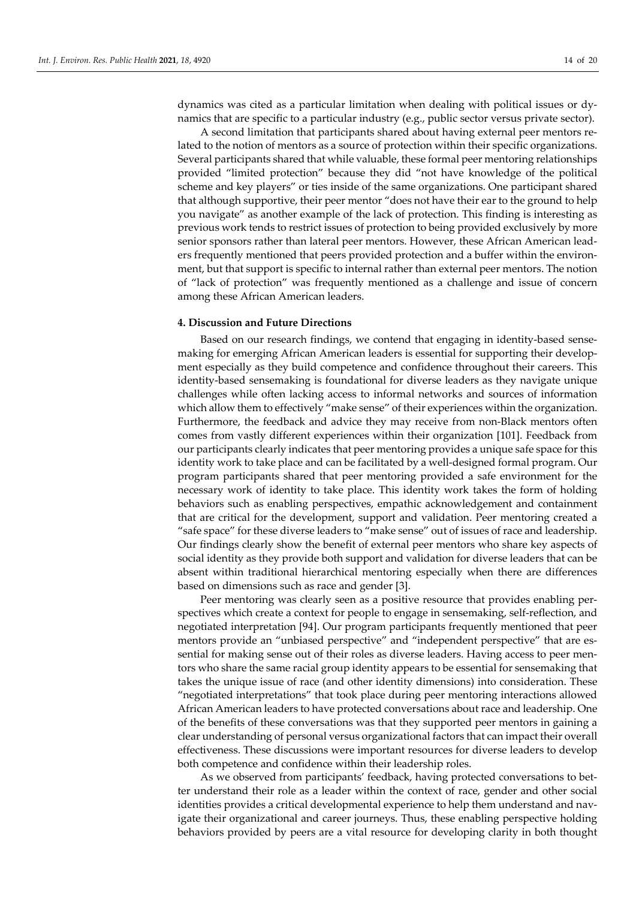dynamics was cited as a particular limitation when dealing with political issues or dynamics that are specific to a particular industry (e.g., public sector versus private sector).

A second limitation that participants shared about having external peer mentors related to the notion of mentors as a source of protection within their specific organizations. Several participants shared that while valuable, these formal peer mentoring relationships provided "limited protection" because they did "not have knowledge of the political scheme and key players" or ties inside of the same organizations. One participant shared that although supportive, their peer mentor "does not have their ear to the ground to help you navigate" as another example of the lack of protection. This finding is interesting as previous work tends to restrict issues of protection to being provided exclusively by more senior sponsors rather than lateral peer mentors. However, these African American leaders frequently mentioned that peers provided protection and a buffer within the environment, but that support is specific to internal rather than external peer mentors. The notion of "lack of protection" was frequently mentioned as a challenge and issue of concern among these African American leaders.

# **4. Discussion and Future Directions**

Based on our research findings, we contend that engaging in identity-based sensemaking for emerging African American leaders is essential for supporting their development especially as they build competence and confidence throughout their careers. This identity-based sensemaking is foundational for diverse leaders as they navigate unique challenges while often lacking access to informal networks and sources of information which allow them to effectively "make sense" of their experiences within the organization. Furthermore, the feedback and advice they may receive from non-Black mentors often comes from vastly different experiences within their organization [101]. Feedback from our participants clearly indicates that peer mentoring provides a unique safe space for this identity work to take place and can be facilitated by a well-designed formal program. Our program participants shared that peer mentoring provided a safe environment for the necessary work of identity to take place. This identity work takes the form of holding behaviors such as enabling perspectives, empathic acknowledgement and containment that are critical for the development, support and validation. Peer mentoring created a "safe space" for these diverse leaders to "make sense" out of issues of race and leadership. Our findings clearly show the benefit of external peer mentors who share key aspects of social identity as they provide both support and validation for diverse leaders that can be absent within traditional hierarchical mentoring especially when there are differences based on dimensions such as race and gender [3].

Peer mentoring was clearly seen as a positive resource that provides enabling perspectives which create a context for people to engage in sensemaking, self-reflection, and negotiated interpretation [94]. Our program participants frequently mentioned that peer mentors provide an "unbiased perspective" and "independent perspective" that are essential for making sense out of their roles as diverse leaders. Having access to peer mentors who share the same racial group identity appears to be essential for sensemaking that takes the unique issue of race (and other identity dimensions) into consideration. These "negotiated interpretations" that took place during peer mentoring interactions allowed African American leaders to have protected conversations about race and leadership. One of the benefits of these conversations was that they supported peer mentors in gaining a clear understanding of personal versus organizational factors that can impact their overall effectiveness. These discussions were important resources for diverse leaders to develop both competence and confidence within their leadership roles.

As we observed from participants' feedback, having protected conversations to better understand their role as a leader within the context of race, gender and other social identities provides a critical developmental experience to help them understand and navigate their organizational and career journeys. Thus, these enabling perspective holding behaviors provided by peers are a vital resource for developing clarity in both thought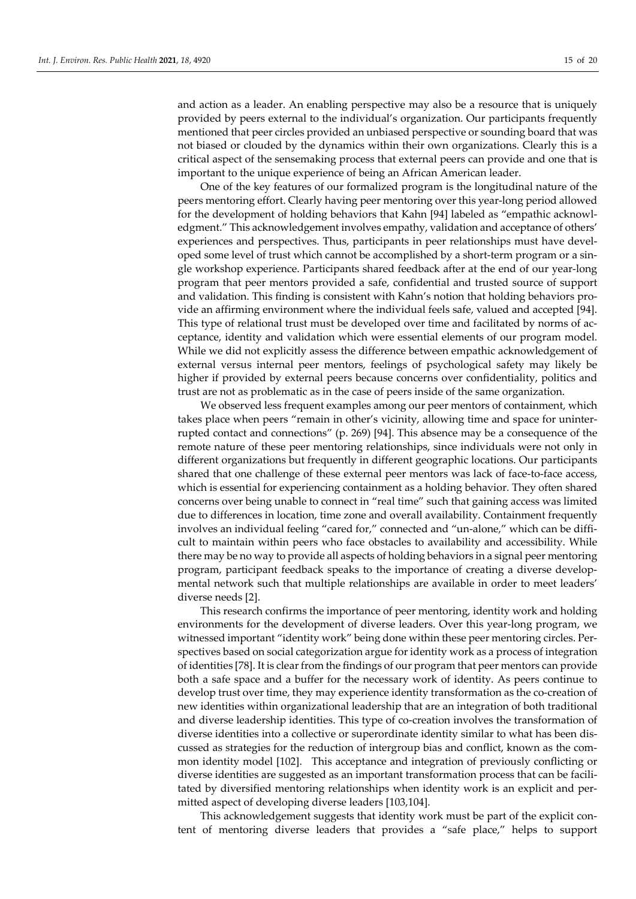and action as a leader. An enabling perspective may also be a resource that is uniquely provided by peers external to the individual's organization. Our participants frequently mentioned that peer circles provided an unbiased perspective or sounding board that was not biased or clouded by the dynamics within their own organizations. Clearly this is a critical aspect of the sensemaking process that external peers can provide and one that is important to the unique experience of being an African American leader.

One of the key features of our formalized program is the longitudinal nature of the peers mentoring effort. Clearly having peer mentoring over this year-long period allowed for the development of holding behaviors that Kahn [94] labeled as "empathic acknowledgment." This acknowledgement involves empathy, validation and acceptance of others' experiences and perspectives. Thus, participants in peer relationships must have developed some level of trust which cannot be accomplished by a short-term program or a single workshop experience. Participants shared feedback after at the end of our year-long program that peer mentors provided a safe, confidential and trusted source of support and validation. This finding is consistent with Kahn's notion that holding behaviors provide an affirming environment where the individual feels safe, valued and accepted [94]. This type of relational trust must be developed over time and facilitated by norms of acceptance, identity and validation which were essential elements of our program model. While we did not explicitly assess the difference between empathic acknowledgement of external versus internal peer mentors, feelings of psychological safety may likely be higher if provided by external peers because concerns over confidentiality, politics and trust are not as problematic as in the case of peers inside of the same organization.

We observed less frequent examples among our peer mentors of containment, which takes place when peers "remain in other's vicinity, allowing time and space for uninterrupted contact and connections" (p. 269) [94]. This absence may be a consequence of the remote nature of these peer mentoring relationships, since individuals were not only in different organizations but frequently in different geographic locations. Our participants shared that one challenge of these external peer mentors was lack of face-to-face access, which is essential for experiencing containment as a holding behavior. They often shared concerns over being unable to connect in "real time" such that gaining access was limited due to differences in location, time zone and overall availability. Containment frequently involves an individual feeling "cared for," connected and "un-alone," which can be difficult to maintain within peers who face obstacles to availability and accessibility. While there may be no way to provide all aspects of holding behaviors in a signal peer mentoring program, participant feedback speaks to the importance of creating a diverse developmental network such that multiple relationships are available in order to meet leaders' diverse needs [2].

This research confirms the importance of peer mentoring, identity work and holding environments for the development of diverse leaders. Over this year-long program, we witnessed important "identity work" being done within these peer mentoring circles. Perspectives based on social categorization argue for identity work as a process of integration of identities [78]. It is clear from the findings of our program that peer mentors can provide both a safe space and a buffer for the necessary work of identity. As peers continue to develop trust over time, they may experience identity transformation as the co-creation of new identities within organizational leadership that are an integration of both traditional and diverse leadership identities. This type of co-creation involves the transformation of diverse identities into a collective or superordinate identity similar to what has been discussed as strategies for the reduction of intergroup bias and conflict, known as the common identity model [102]. This acceptance and integration of previously conflicting or diverse identities are suggested as an important transformation process that can be facilitated by diversified mentoring relationships when identity work is an explicit and permitted aspect of developing diverse leaders [103,104].

This acknowledgement suggests that identity work must be part of the explicit content of mentoring diverse leaders that provides a "safe place," helps to support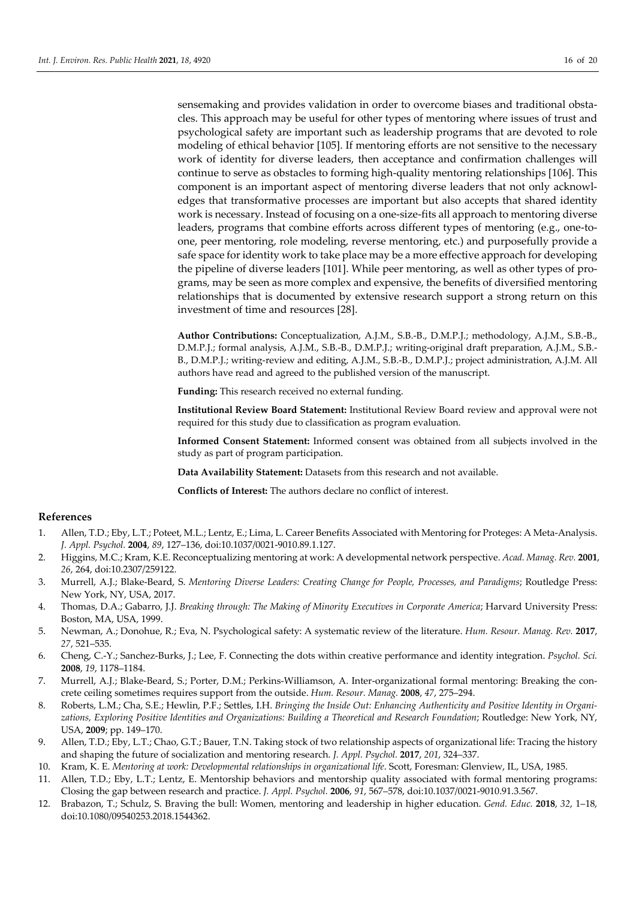sensemaking and provides validation in order to overcome biases and traditional obstacles. This approach may be useful for other types of mentoring where issues of trust and psychological safety are important such as leadership programs that are devoted to role modeling of ethical behavior [105]. If mentoring efforts are not sensitive to the necessary work of identity for diverse leaders, then acceptance and confirmation challenges will continue to serve as obstacles to forming high-quality mentoring relationships [106]. This component is an important aspect of mentoring diverse leaders that not only acknowledges that transformative processes are important but also accepts that shared identity work is necessary. Instead of focusing on a one-size-fits all approach to mentoring diverse leaders, programs that combine efforts across different types of mentoring (e.g., one-toone, peer mentoring, role modeling, reverse mentoring, etc.) and purposefully provide a safe space for identity work to take place may be a more effective approach for developing the pipeline of diverse leaders [101]. While peer mentoring, as well as other types of programs, may be seen as more complex and expensive, the benefits of diversified mentoring relationships that is documented by extensive research support a strong return on this investment of time and resources [28].

**Author Contributions:** Conceptualization, A.J.M., S.B.-B., D.M.P.J.; methodology, A.J.M., S.B.-B., D.M.P.J.; formal analysis, A.J.M., S.B.-B., D.M.P.J.; writing-original draft preparation, A.J.M., S.B.- B., D.M.P.J.; writing-review and editing, A.J.M., S.B.-B., D.M.P.J.; project administration, A.J.M. All authors have read and agreed to the published version of the manuscript.

**Funding:** This research received no external funding.

**Institutional Review Board Statement:** Institutional Review Board review and approval were not required for this study due to classification as program evaluation.

**Informed Consent Statement:** Informed consent was obtained from all subjects involved in the study as part of program participation.

**Data Availability Statement:** Datasets from this research and not available.

**Conflicts of Interest:** The authors declare no conflict of interest.

#### **References**

- 1. Allen, T.D.; Eby, L.T.; Poteet, M.L.; Lentz, E.; Lima, L. Career Benefits Associated with Mentoring for Proteges: A Meta-Analysis. *J. Appl. Psychol.* **2004**, *89*, 127–136, doi:10.1037/0021-9010.89.1.127.
- 2. Higgins, M.C.; Kram, K.E. Reconceptualizing mentoring at work: A developmental network perspective. *Acad. Manag. Rev.* **2001**, *26*, 264, doi:10.2307/259122.
- 3. Murrell, A.J.; Blake-Beard, S. *Mentoring Diverse Leaders: Creating Change for People, Processes, and Paradigms*; Routledge Press: New York, NY, USA, 2017.
- 4. Thomas, D.A.; Gabarro, J.J. *Breaking through: The Making of Minority Executives in Corporate America*; Harvard University Press: Boston, MA, USA, 1999.
- 5. Newman, A.; Donohue, R.; Eva, N. Psychological safety: A systematic review of the literature. *Hum. Resour. Manag. Rev.* **2017**, *27*, 521–535.
- 6. Cheng, C.-Y.; Sanchez-Burks, J.; Lee, F. Connecting the dots within creative performance and identity integration. *Psychol. Sci.*  **2008**, *19*, 1178–1184.
- 7. Murrell, A.J.; Blake-Beard, S.; Porter, D.M.; Perkins-Williamson, A. Inter-organizational formal mentoring: Breaking the concrete ceiling sometimes requires support from the outside. *Hum. Resour. Manag.* **2008**, *47*, 275–294.
- 8. Roberts, L.M.; Cha, S.E.; Hewlin, P.F.; Settles, I.H. *Bringing the Inside Out: Enhancing Authenticity and Positive Identity in Organizations, Exploring Positive Identities and Organizations: Building a Theoretical and Research Foundation*; Routledge: New York, NY, USA, **2009**; pp. 149–170.
- 9. Allen, T.D.; Eby, L.T.; Chao, G.T.; Bauer, T.N. Taking stock of two relationship aspects of organizational life: Tracing the history and shaping the future of socialization and mentoring research. *J. Appl. Psychol.* **2017**, *201*, 324–337.
- 10. Kram, K. E. *Mentoring at work: Developmental relationships in organizational life*. Scott, Foresman: Glenview, IL, USA, 1985.
- 11. Allen, T.D.; Eby, L.T.; Lentz, E. Mentorship behaviors and mentorship quality associated with formal mentoring programs: Closing the gap between research and practice. *J. Appl. Psychol.* **2006**, *91*, 567–578, doi:10.1037/0021-9010.91.3.567.
- 12. Brabazon, T.; Schulz, S. Braving the bull: Women, mentoring and leadership in higher education. *Gend. Educ.* **2018**, *32*, 1–18, doi:10.1080/09540253.2018.1544362.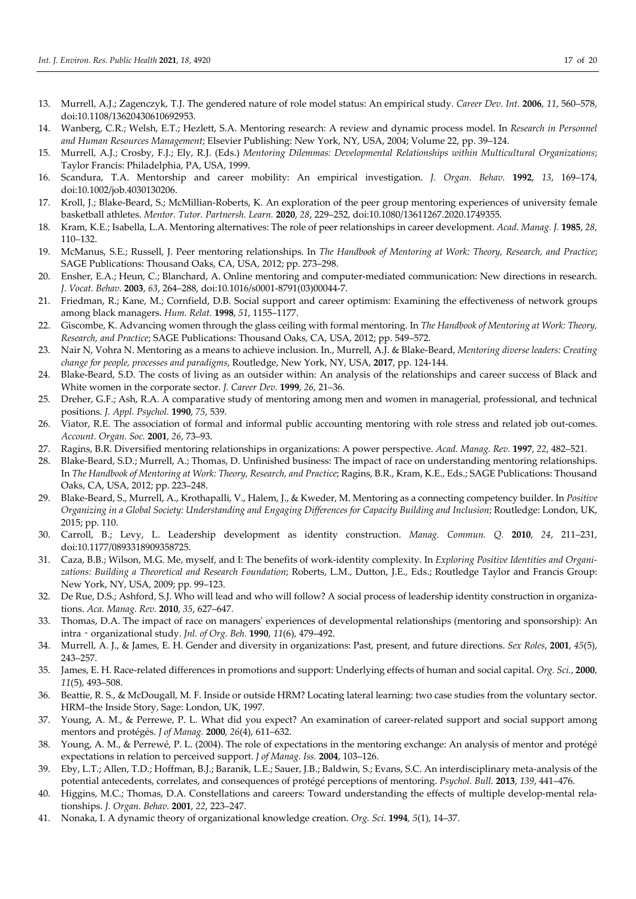- 13. Murrell, A.J.; Zagenczyk, T.J. The gendered nature of role model status: An empirical study. *Career Dev. Int.* **2006**, *11*, 560–578, doi:10.1108/13620430610692953.
- 14. Wanberg, C.R.; Welsh, E.T.; Hezlett, S.A. Mentoring research: A review and dynamic process model. In *Research in Personnel and Human Resources Management*; Elsevier Publishing: New York, NY, USA, 2004; Volume 22, pp. 39–124.
- 15. Murrell, A.J.; Crosby, F.J.; Ely, R.J. (Eds.) *Mentoring Dilemmas: Developmental Relationships within Multicultural Organizations*; Taylor Francis: Philadelphia, PA, USA, 1999.
- 16. Scandura, T.A. Mentorship and career mobility: An empirical investigation. *J. Organ. Behav.* **1992**, *13*, 169–174, doi:10.1002/job.4030130206.
- 17. Kroll, J.; Blake-Beard, S.; McMillian-Roberts, K. An exploration of the peer group mentoring experiences of university female basketball athletes. *Mentor. Tutor. Partnersh. Learn.* **2020**, *28*, 229–252, doi:10.1080/13611267.2020.1749355.
- 18. Kram, K.E.; Isabella, L.A. Mentoring alternatives: The role of peer relationships in career development. *Acad. Manag. J.* **1985**, *28*, 110–132.
- 19. McManus, S.E.; Russell, J. Peer mentoring relationships. In *The Handbook of Mentoring at Work: Theory, Research, and Practice*; SAGE Publications: Thousand Oaks, CA, USA, 2012; pp. 273–298.
- 20. Ensher, E.A.; Heun, C.; Blanchard, A. Online mentoring and computer-mediated communication: New directions in research. *J. Vocat. Behav.* **2003**, *63*, 264–288, doi:10.1016/s0001-8791(03)00044-7.
- 21. Friedman, R.; Kane, M.; Cornfield, D.B. Social support and career optimism: Examining the effectiveness of network groups among black managers. *Hum. Relat.* **1998**, *51*, 1155–1177.
- 22. Giscombe, K. Advancing women through the glass ceiling with formal mentoring. In *The Handbook of Mentoring at Work: Theory, Research, and Practice*; SAGE Publications: Thousand Oaks, CA, USA, 2012; pp. 549–572.
- 23. Nair N, Vohra N. Mentoring as a means to achieve inclusion. In., Murrell, A.J. & Blake-Beard, *Mentoring diverse leaders: Creating change for people, processes and paradigms*, Routledge, New York, NY, USA, **2017**, pp. 124-144.
- 24. Blake-Beard, S.D. The costs of living as an outsider within: An analysis of the relationships and career success of Black and White women in the corporate sector. *J. Career Dev.* **1999**, *26*, 21–36.
- 25. Dreher, G.F.; Ash, R.A. A comparative study of mentoring among men and women in managerial, professional, and technical positions. *J. Appl. Psychol.* **1990**, *75*, 539.
- 26. Viator, R.E. The association of formal and informal public accounting mentoring with role stress and related job out-comes. *Account. Organ. Soc.* **2001**, *26*, 73–93.
- 27. Ragins, B.R. Diversified mentoring relationships in organizations: A power perspective. *Acad. Manag. Rev.* **1997**, *22*, 482–521.
- 28. Blake-Beard, S.D.; Murrell, A.; Thomas, D. Unfinished business: The impact of race on understanding mentoring relationships. In *The Handbook of Mentoring at Work: Theory, Research, and Practice*; Ragins, B.R., Kram, K.E., Eds.; SAGE Publications: Thousand Oaks, CA, USA, 2012; pp. 223–248.
- 29. Blake-Beard, S., Murrell, A., Krothapalli, V., Halem, J., & Kweder, M. Mentoring as a connecting competency builder. In *Positive Organizing in a Global Society: Understanding and Engaging Differences for Capacity Building and Inclusion*; Routledge: London, UK, 2015; pp. 110.
- 30. Carroll, B.; Levy, L. Leadership development as identity construction. *Manag. Commun. Q.* **2010**, *24*, 211–231, doi:10.1177/0893318909358725.
- 31. Caza, B.B.; Wilson, M.G. Me, myself, and I: The benefits of work-identity complexity. In *Exploring Positive Identities and Organizations: Building a Theoretical and Research Foundation*; Roberts, L.M., Dutton, J.E., Eds.; Routledge Taylor and Francis Group: New York, NY, USA, 2009; pp. 99–123.
- 32. De Rue, D.S.; Ashford, S.J. Who will lead and who will follow? A social process of leadership identity construction in organizations. *Aca. Manag. Rev.* **2010**, *35*, 627–647.
- 33. Thomas, D.A. The impact of race on managers' experiences of developmental relationships (mentoring and sponsorship): An intra‐organizational study. *Jnl. of Org. Beh.* **1990**, *11*(6), 479–492.
- 34. Murrell, A. J., & James, E. H. Gender and diversity in organizations: Past, present, and future directions. *Sex Roles*, **2001**, *45*(5), 243–257.
- 35. James, E. H. Race-related differences in promotions and support: Underlying effects of human and social capital. *Org. Sci.*, **2000**, *11*(5), 493–508.
- 36. Beattie, R. S., & McDougall, M. F. Inside or outside HRM? Locating lateral learning: two case studies from the voluntary sector. HRM–the Inside Story, Sage: London, UK, 1997.
- 37. Young, A. M., & Perrewe, P. L. What did you expect? An examination of career-related support and social support among mentors and protégés. *J of Manag.* **2000**, *26*(4), 611–632.
- 38. Young, A. M., & Perrewé, P. L. (2004). The role of expectations in the mentoring exchange: An analysis of mentor and protégé expectations in relation to perceived support. *J of Manag. Iss.* **2004**, 103–126.
- 39. Eby, L.T.; Allen, T.D.; Hoffman, B.J.; Baranik, L.E.; Sauer, J.B.; Baldwin, S.; Evans, S.C. An interdisciplinary meta-analysis of the potential antecedents, correlates, and consequences of protégé perceptions of mentoring. *Psychol. Bull.* **2013**, *139*, 441–476.
- 40. Higgins, M.C.; Thomas, D.A. Constellations and careers: Toward understanding the effects of multiple develop-mental relationships. *J. Organ. Behav.* **2001**, *22*, 223–247.
- 41. Nonaka, I. A dynamic theory of organizational knowledge creation. *Org. Sci.* **1994***, 5*(1), 14–37.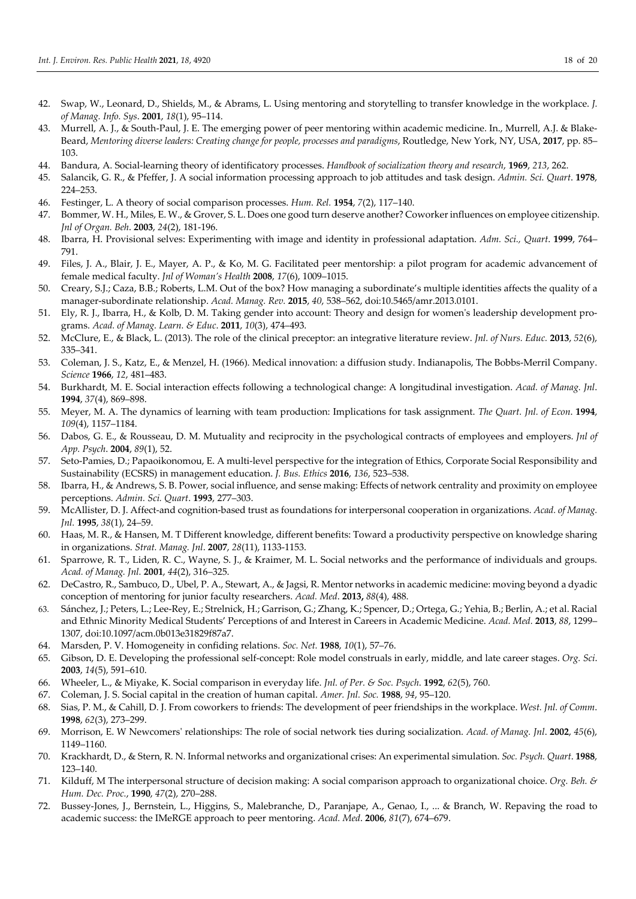- 42. Swap, W., Leonard, D., Shields, M., & Abrams, L. Using mentoring and storytelling to transfer knowledge in the workplace. *J. of Manag. Info. Sys*. **2001**, *18*(1), 95–114.
- 43. Murrell, A. J., & South-Paul, J. E. The emerging power of peer mentoring within academic medicine. In., Murrell, A.J. & Blake-Beard, *Mentoring diverse leaders: Creating change for people, processes and paradigms*, Routledge, New York, NY, USA, **2017**, pp. 85– 103.
- 44. Bandura, A. Social-learning theory of identificatory processes. *Handbook of socialization theory and research*, **1969**, *213*, 262.
- 45. Salancik, G. R., & Pfeffer, J. A social information processing approach to job attitudes and task design. *Admin. Sci. Quart*. **1978**, 224–253.
- 46. Festinger, L. A theory of social comparison processes. *Hum. Rel.* **1954**, *7*(2), 117–140.
- 47. Bommer, W. H., Miles, E. W., & Grover, S. L. Does one good turn deserve another? Coworker influences on employee citizenship. *Jnl of Organ. Beh*. **2003**, *24*(2), 181-196.
- 48. Ibarra, H. Provisional selves: Experimenting with image and identity in professional adaptation. *Adm. Sci., Quart*. **1999**, 764– 791.
- 49. Files, J. A., Blair, J. E., Mayer, A. P., & Ko, M. G. Facilitated peer mentorship: a pilot program for academic advancement of female medical faculty. *Jnl of Woman's Health* **2008**, *17*(6), 1009–1015.
- 50. Creary, S.J.; Caza, B.B.; Roberts, L.M. Out of the box? How managing a subordinate's multiple identities affects the quality of a manager-subordinate relationship. *Acad. Manag. Rev.* **2015**, *40*, 538–562, doi:10.5465/amr.2013.0101.
- 51. Ely, R. J., Ibarra, H., & Kolb, D. M. Taking gender into account: Theory and design for women's leadership development programs. *Acad. of Manag. Learn. & Educ*. **2011**, *10*(3), 474–493.
- 52. McClure, E., & Black, L. (2013). The role of the clinical preceptor: an integrative literature review. *Jnl. of Nurs. Educ.* **2013**, *52*(6), 335–341.
- 53. Coleman, J. S., Katz, E., & Menzel, H. (1966). Medical innovation: a diffusion study. Indianapolis, The Bobbs-Merril Company. *Science* **1966**, *12*, 481–483.
- 54. Burkhardt, M. E. Social interaction effects following a technological change: A longitudinal investigation. *Acad. of Manag. Jnl*. **1994**, *37*(4), 869–898.
- 55. Meyer, M. A. The dynamics of learning with team production: Implications for task assignment. *The Quart. Jnl. of Econ*. **1994**, *109*(4), 1157–1184.
- 56. Dabos, G. E., & Rousseau, D. M. Mutuality and reciprocity in the psychological contracts of employees and employers. *Jnl of App. Psych*. **2004**, *89*(1), 52.
- 57. Seto-Pamies, D.; Papaoikonomou, E. A multi-level perspective for the integration of Ethics, Corporate Social Responsibility and Sustainability (ECSRS) in management education. *J. Bus. Ethics* **2016**, *136*, 523–538.
- 58. Ibarra, H., & Andrews, S. B. Power, social influence, and sense making: Effects of network centrality and proximity on employee perceptions. *Admin. Sci. Quart*. **1993**, 277–303.
- 59. McAllister, D. J. Affect-and cognition-based trust as foundations for interpersonal cooperation in organizations. *Acad. of Manag. Jnl.* **1995**, *38*(1), 24–59.
- 60. Haas, M. R., & Hansen, M. T Different knowledge, different benefits: Toward a productivity perspective on knowledge sharing in organizations. *Strat. Manag. Jnl*. **2007**, *28*(11), 1133-1153.
- 61. Sparrowe, R. T., Liden, R. C., Wayne, S. J., & Kraimer, M. L. Social networks and the performance of individuals and groups. *Acad. of Manag. Jnl.* **2001**, *44*(2), 316–325.
- 62. DeCastro, R., Sambuco, D., Ubel, P. A., Stewart, A., & Jagsi, R. Mentor networks in academic medicine: moving beyond a dyadic conception of mentoring for junior faculty researchers. *Acad. Med*. **2013,** *88*(4), 488.
- 63. Sánchez, J.; Peters, L.; Lee-Rey, E.; Strelnick, H.; Garrison, G.; Zhang, K.; Spencer, D.; Ortega, G.; Yehia, B.; Berlin, A.; et al. Racial and Ethnic Minority Medical Students' Perceptions of and Interest in Careers in Academic Medicine. *Acad. Med.* **2013**, *88*, 1299– 1307, doi:10.1097/acm.0b013e31829f87a7.
- 64. Marsden, P. V. Homogeneity in confiding relations. *Soc. Net.* **1988**, *10*(1), 57–76.
- 65. Gibson, D. E. Developing the professional self-concept: Role model construals in early, middle, and late career stages. *Org. Sci*. **2003**, *14*(5), 591–610.
- 66. Wheeler, L., & Miyake, K. Social comparison in everyday life. *Jnl. of Per. & Soc. Psych*. **1992**, *62*(5), 760.
- 67. Coleman, J. S. Social capital in the creation of human capital. *Amer. Jnl. Soc.* **1988**, *94*, 95–120.
- 68. Sias, P. M., & Cahill, D. J. From coworkers to friends: The development of peer friendships in the workplace. *West. Jnl. of Comm*. **1998**, *62*(3), 273–299.
- 69. Morrison, E. W Newcomers' relationships: The role of social network ties during socialization. *Acad. of Manag. Jnl*. **2002**, *45*(6), 1149–1160.
- 70. Krackhardt, D., & Stern, R. N. Informal networks and organizational crises: An experimental simulation. *Soc. Psych. Quart*. **1988**, 123–140.
- 71. Kilduff, M The interpersonal structure of decision making: A social comparison approach to organizational choice. *Org. Beh. & Hum. Dec. Proc.*, **1990**, *47*(2), 270–288.
- 72. Bussey-Jones, J., Bernstein, L., Higgins, S., Malebranche, D., Paranjape, A., Genao, I., ... & Branch, W. Repaving the road to academic success: the IMeRGE approach to peer mentoring. *Acad. Med*. **2006**, *81*(7), 674–679.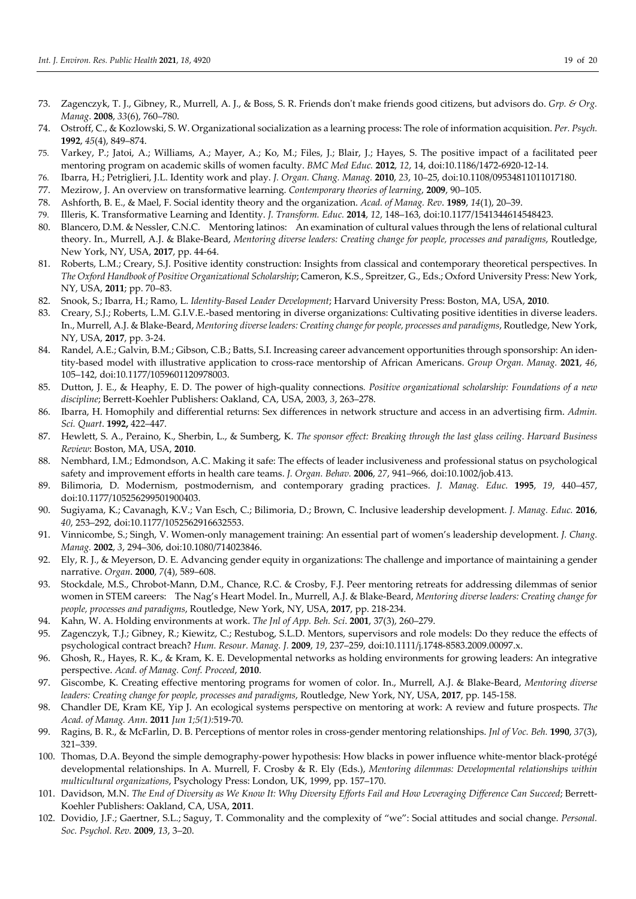- 73. Zagenczyk, T. J., Gibney, R., Murrell, A. J., & Boss, S. R. Friends don't make friends good citizens, but advisors do. *Grp. & Org. Manag*. **2008**, *33*(6), 760–780.
- 74. Ostroff, C., & Kozlowski, S. W. Organizational socialization as a learning process: The role of information acquisition. *Per. Psych.* **1992**, *45*(4), 849–874.
- 75. Varkey, P.; Jatoi, A.; Williams, A.; Mayer, A.; Ko, M.; Files, J.; Blair, J.; Hayes, S. The positive impact of a facilitated peer mentoring program on academic skills of women faculty. *BMC Med Educ.* **2012**, *12*, 14, doi:10.1186/1472-6920-12-14.
- 76. Ibarra, H.; Petriglieri, J.L. Identity work and play. *J. Organ. Chang. Manag.* **2010**, *23*, 10–25, doi:10.1108/09534811011017180.
- 77. Mezirow, J. An overview on transformative learning. *Contemporary theories of learning*, **2009**, 90–105.
- 78. Ashforth, B. E., & Mael, F. Social identity theory and the organization. *Acad. of Manag. Rev*. **1989**, *14*(1), 20–39.
- 79. Illeris, K. Transformative Learning and Identity. *J. Transform. Educ.* **2014**, *12*, 148–163, doi:10.1177/1541344614548423.
- 80. Blancero, D.M. & Nessler, C.N.C. Mentoring latinos: An examination of cultural values through the lens of relational cultural theory. In., Murrell, A.J. & Blake-Beard, *Mentoring diverse leaders: Creating change for people, processes and paradigms*, Routledge, New York, NY, USA, **2017**, pp. 44-64.
- 81. Roberts, L.M.; Creary, S.J. Positive identity construction: Insights from classical and contemporary theoretical perspectives. In *The Oxford Handbook of Positive Organizational Scholarship*; Cameron, K.S., Spreitzer, G., Eds.; Oxford University Press: New York, NY, USA, **2011**; pp. 70–83.
- 82. Snook, S.; Ibarra, H.; Ramo, L. *Identity-Based Leader Development*; Harvard University Press: Boston, MA, USA, **2010**.
- 83. Creary, S.J.; Roberts, L.M. G.I.V.E.-based mentoring in diverse organizations: Cultivating positive identities in diverse leaders. In., Murrell, A.J. & Blake-Beard, *Mentoring diverse leaders: Creating change for people, processes and paradigms*, Routledge, New York, NY, USA, **2017**, pp. 3-24.
- 84. Randel, A.E.; Galvin, B.M.; Gibson, C.B.; Batts, S.I. Increasing career advancement opportunities through sponsorship: An identity-based model with illustrative application to cross-race mentorship of African Americans. *Group Organ. Manag.* **2021**, *46*, 105–142, doi:10.1177/1059601120978003.
- 85. Dutton, J. E., & Heaphy, E. D. The power of high-quality connections*. Positive organizational scholarship: Foundations of a new discipline*; Berrett-Koehler Publishers: Oakland, CA, USA, 2003, *3*, 263–278.
- 86. Ibarra, H. Homophily and differential returns: Sex differences in network structure and access in an advertising firm. *Admin. Sci. Quart*. **1992,** 422–447.
- 87. Hewlett, S. A., Peraino, K., Sherbin, L., & Sumberg, K. *The sponsor effect: Breaking through the last glass ceiling*. *Harvard Business Review*: Boston, MA, USA, **2010**.
- 88. Nembhard, I.M.; Edmondson, A.C. Making it safe: The effects of leader inclusiveness and professional status on psychological safety and improvement efforts in health care teams. *J. Organ. Behav.* **2006**, *27*, 941–966, doi:10.1002/job.413.
- 89. Bilimoria, D. Modernism, postmodernism, and contemporary grading practices. *J. Manag. Educ.* **1995**, *19*, 440–457, doi:10.1177/105256299501900403.
- 90. Sugiyama, K.; Cavanagh, K.V.; Van Esch, C.; Bilimoria, D.; Brown, C. Inclusive leadership development. *J. Manag. Educ.* **2016**, *40*, 253–292, doi:10.1177/1052562916632553.
- 91. Vinnicombe, S.; Singh, V. Women-only management training: An essential part of women's leadership development. *J. Chang. Manag.* **2002**, *3*, 294–306, doi:10.1080/714023846.
- 92. Ely, R. J., & Meyerson, D. E. Advancing gender equity in organizations: The challenge and importance of maintaining a gender narrative. *Organ*. **2000**, *7*(4), 589–608.
- 93. Stockdale, M.S., Chrobot-Mann, D.M., Chance, R.C. & Crosby, F.J. Peer mentoring retreats for addressing dilemmas of senior women in STEM careers: The Nag's Heart Model. In., Murrell, A.J. & Blake-Beard, *Mentoring diverse leaders: Creating change for people, processes and paradigms*, Routledge, New York, NY, USA, **2017**, pp. 218-234.
- 94. Kahn, W. A. Holding environments at work. *The Jnl of App. Beh. Sci*. **2001**, 37(3), 260–279.
- 95. Zagenczyk, T.J.; Gibney, R.; Kiewitz, C.; Restubog, S.L.D. Mentors, supervisors and role models: Do they reduce the effects of psychological contract breach? *Hum. Resour. Manag. J.* **2009**, *19*, 237–259, doi:10.1111/j.1748-8583.2009.00097.x.
- 96. Ghosh, R., Hayes, R. K., & Kram, K. E. Developmental networks as holding environments for growing leaders: An integrative perspective. *Acad. of Manag. Conf. Proceed*, **2010**.
- 97. Giscombe, K. Creating effective mentoring programs for women of color. In., Murrell, A.J. & Blake-Beard, *Mentoring diverse leaders: Creating change for people, processes and paradigms*, Routledge, New York, NY, USA, **2017**, pp. 145-158.
- 98. Chandler DE, Kram KE, Yip J. An ecological systems perspective on mentoring at work: A review and future prospects. *The Acad. of Manag. Ann*. **2011** *Jun 1;5(1):*519-70.
- 99. Ragins, B. R., & McFarlin, D. B. Perceptions of mentor roles in cross-gender mentoring relationships. *Jnl of Voc. Beh.* **1990**, *37*(3), 321–339.
- 100. Thomas, D.A. Beyond the simple demography-power hypothesis: How blacks in power influence white-mentor black-protégé developmental relationships. In A. Murrell, F. Crosby & R. Ely (Eds.), *Mentoring dilemmas: Developmental relationships within multicultural organizations*, Psychology Press: London, UK, 1999, pp. 157–170.
- 101. Davidson, M.N. *The End of Diversity as We Know It: Why Diversity Efforts Fail and How Leveraging Difference Can Succeed*; Berrett-Koehler Publishers: Oakland, CA, USA, **2011**.
- 102. Dovidio, J.F.; Gaertner, S.L.; Saguy, T. Commonality and the complexity of "we": Social attitudes and social change. *Personal. Soc. Psychol. Rev.* **2009**, *13*, 3–20.